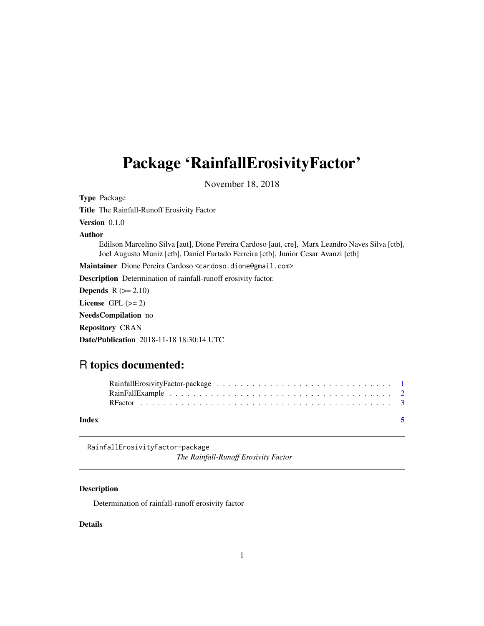## <span id="page-0-0"></span>Package 'RainfallErosivityFactor'

November 18, 2018

Type Package Title The Rainfall-Runoff Erosivity Factor Version 0.1.0 Author Edilson Marcelino Silva [aut], Dione Pereira Cardoso [aut, cre], Marx Leandro Naves Silva [ctb], Joel Augusto Muniz [ctb], Daniel Furtado Ferreira [ctb], Junior Cesar Avanzi [ctb] Maintainer Dione Pereira Cardoso <cardoso.dione@gmail.com> Description Determination of rainfall-runoff erosivity factor. **Depends**  $R$  ( $>= 2.10$ ) License GPL  $(>= 2)$ NeedsCompilation no Repository CRAN Date/Publication 2018-11-18 18:30:14 UTC

### R topics documented:

| Index | - 5 |
|-------|-----|

RainfallErosivityFactor-package

*The Rainfall-Runoff Erosivity Factor*

#### Description

Determination of rainfall-runoff erosivity factor

#### Details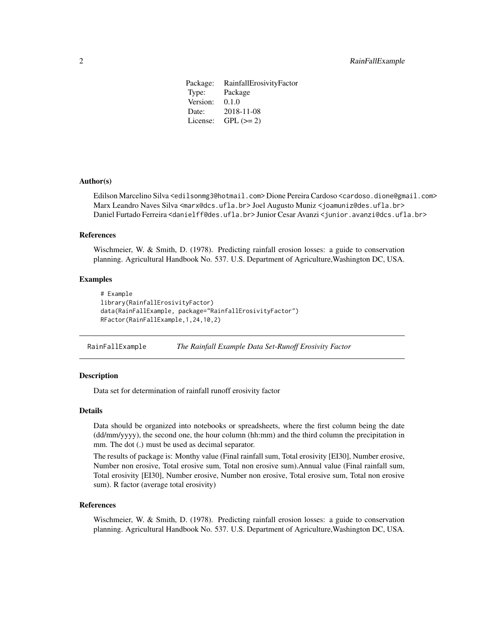<span id="page-1-0"></span>

| Package: | RainfallErosivityFactor |
|----------|-------------------------|
| Type:    | Package                 |
| Version: | 0.1.0                   |
| Date:    | 2018-11-08              |
| License: | $GPL (=2)$              |

#### Author(s)

Edilson Marcelino Silva <edilsonmg3@hotmail.com> Dione Pereira Cardoso <cardoso.dione@gmail.com> Marx Leandro Naves Silva <marx@dcs.ufla.br> Joel Augusto Muniz <joamuniz@des.ufla.br> Daniel Furtado Ferreira <danielff@des.ufla.br> Junior Cesar Avanzi <junior.avanzi@dcs.ufla.br>

#### References

Wischmeier, W. & Smith, D. (1978). Predicting rainfall erosion losses: a guide to conservation planning. Agricultural Handbook No. 537. U.S. Department of Agriculture,Washington DC, USA.

#### Examples

```
# Example
library(RainfallErosivityFactor)
data(RainFallExample, package="RainfallErosivityFactor")
RFactor(RainFallExample,1,24,10,2)
```
RainFallExample *The Rainfall Example Data Set-Runoff Erosivity Factor*

#### **Description**

Data set for determination of rainfall runoff erosivity factor

#### Details

Data should be organized into notebooks or spreadsheets, where the first column being the date (dd/mm/yyyy), the second one, the hour column (hh:mm) and the third column the precipitation in mm. The dot (.) must be used as decimal separator.

The results of package is: Monthy value (Final rainfall sum, Total erosivity [EI30], Number erosive, Number non erosive, Total erosive sum, Total non erosive sum).Annual value (Final rainfall sum, Total erosivity [EI30], Number erosive, Number non erosive, Total erosive sum, Total non erosive sum). R factor (average total erosivity)

#### References

Wischmeier, W. & Smith, D. (1978). Predicting rainfall erosion losses: a guide to conservation planning. Agricultural Handbook No. 537. U.S. Department of Agriculture,Washington DC, USA.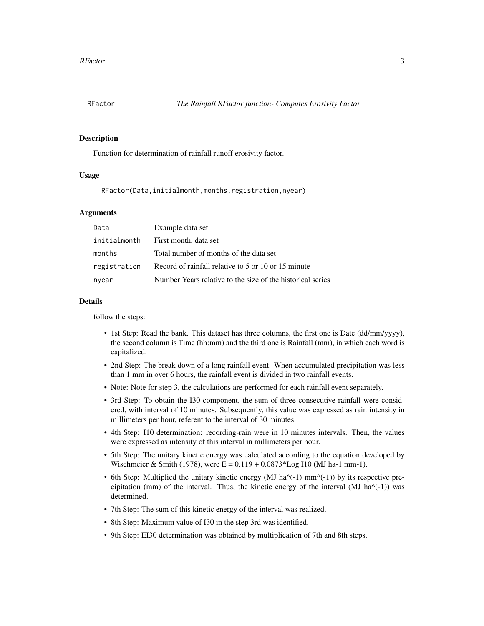<span id="page-2-0"></span>

#### Description

Function for determination of rainfall runoff erosivity factor.

#### Usage

RFactor(Data,initialmonth,months,registration,nyear)

#### Arguments

| Data         | Example data set                                           |
|--------------|------------------------------------------------------------|
| initialmonth | First month, data set                                      |
| months       | Total number of months of the data set                     |
| registration | Record of rainfall relative to 5 or 10 or 15 minute        |
| nyear        | Number Years relative to the size of the historical series |

#### Details

follow the steps:

- 1st Step: Read the bank. This dataset has three columns, the first one is Date (dd/mm/yyyy), the second column is Time (hh:mm) and the third one is Rainfall (mm), in which each word is capitalized.
- 2nd Step: The break down of a long rainfall event. When accumulated precipitation was less than 1 mm in over 6 hours, the rainfall event is divided in two rainfall events.
- Note: Note for step 3, the calculations are performed for each rainfall event separately.
- 3rd Step: To obtain the I30 component, the sum of three consecutive rainfall were considered, with interval of 10 minutes. Subsequently, this value was expressed as rain intensity in millimeters per hour, referent to the interval of 30 minutes.
- 4th Step: I10 determination: recording-rain were in 10 minutes intervals. Then, the values were expressed as intensity of this interval in millimeters per hour.
- 5th Step: The unitary kinetic energy was calculated according to the equation developed by Wischmeier & Smith (1978), were  $E = 0.119 + 0.0873 * Log 110$  (MJ ha-1 mm-1).
- 6th Step: Multiplied the unitary kinetic energy (MJ ha $\wedge$ (-1) mm $\wedge$ (-1)) by its respective precipitation (mm) of the interval. Thus, the kinetic energy of the interval (MJ ha $\land$ (-1)) was determined.
- 7th Step: The sum of this kinetic energy of the interval was realized.
- 8th Step: Maximum value of I30 in the step 3rd was identified.
- 9th Step: EI30 determination was obtained by multiplication of 7th and 8th steps.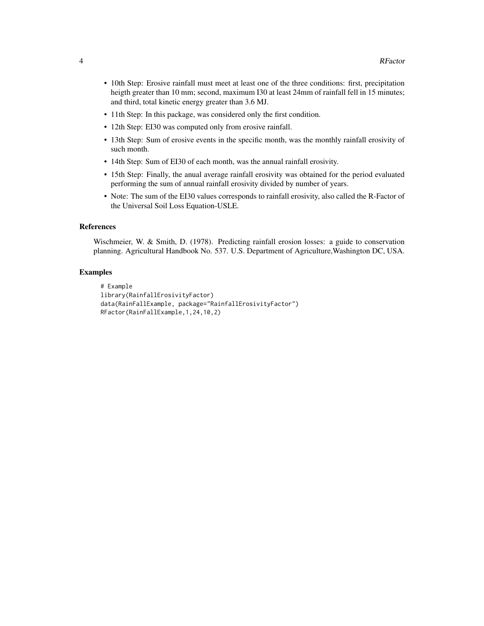- 10th Step: Erosive rainfall must meet at least one of the three conditions: first, precipitation heigth greater than 10 mm; second, maximum I30 at least 24mm of rainfall fell in 15 minutes; and third, total kinetic energy greater than 3.6 MJ.
- 11th Step: In this package, was considered only the first condition.
- 12th Step: EI30 was computed only from erosive rainfall.
- 13th Step: Sum of erosive events in the specific month, was the monthly rainfall erosivity of such month.
- 14th Step: Sum of EI30 of each month, was the annual rainfall erosivity.
- 15th Step: Finally, the anual average rainfall erosivity was obtained for the period evaluated performing the sum of annual rainfall erosivity divided by number of years.
- Note: The sum of the EI30 values corresponds to rainfall erosivity, also called the R-Factor of the Universal Soil Loss Equation-USLE.

#### References

Wischmeier, W. & Smith, D. (1978). Predicting rainfall erosion losses: a guide to conservation planning. Agricultural Handbook No. 537. U.S. Department of Agriculture,Washington DC, USA.

#### Examples

```
# Example
library(RainfallErosivityFactor)
data(RainFallExample, package="RainfallErosivityFactor")
RFactor(RainFallExample,1,24,10,2)
```